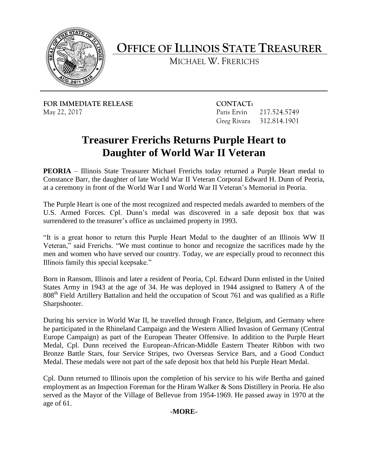

**OFFICE OF ILLINOIS STATE TREASURER** 

MICHAEL W. FRERICHS

**FOR IMMEDIATE RELEASE CONTACT:** May 22, 2017

Paris Ervin 217.524.5749 Greg Rivara 312.814.1901

## **Treasurer Frerichs Returns Purple Heart to Daughter of World War II Veteran**

 **PEORIA** – Illinois State Treasurer Michael Frerichs today returned a Purple Heart medal to Constance Barr, the daughter of late World War II Veteran Corporal Edward H. Dunn of Peoria, at a ceremony in front of the World War I and World War II Veteran's Memorial in Peoria.

 The Purple Heart is one of the most recognized and respected medals awarded to members of the U.S. Armed Forces. Cpl. Dunn's medal was discovered in a safe deposit box that was surrendered to the treasurer's office as unclaimed property in 1993.

 "It is a great honor to return this Purple Heart Medal to the daughter of an Illinois WW II Veteran," said Frerichs. "We must continue to honor and recognize the sacrifices made by the men and women who have served our country. Today, we are especially proud to reconnect this Illinois family this special keepsake."

 States Army in 1943 at the age of 34. He was deployed in 1944 assigned to Battery A of the 808<sup>th</sup> Field Artillery Battalion and held the occupation of Scout 761 and was qualified as a Rifle Born in Ransom, Illinois and later a resident of Peoria, Cpl. Edward Dunn enlisted in the United Sharpshooter.

 During his service in World War II, he travelled through France, Belgium, and Germany where he participated in the Rhineland Campaign and the Western Allied Invasion of Germany (Central Europe Campaign) as part of the European Theater Offensive. In addition to the Purple Heart Bronze Battle Stars, four Service Stripes, two Overseas Service Bars, and a Good Conduct Medal, Cpl. Dunn received the European-African-Middle Eastern Theater Ribbon with two Medal. These medals were not part of the safe deposit box that held his Purple Heart Medal.

 Cpl. Dunn returned to Illinois upon the completion of his service to his wife Bertha and gained served as the Mayor of the Village of Bellevue from 1954-1969. He passed away in 1970 at the employment as an Inspection Foreman for the Hiram Walker & Sons Distillery in Peoria. He also age of 61.

## **-MORE-**